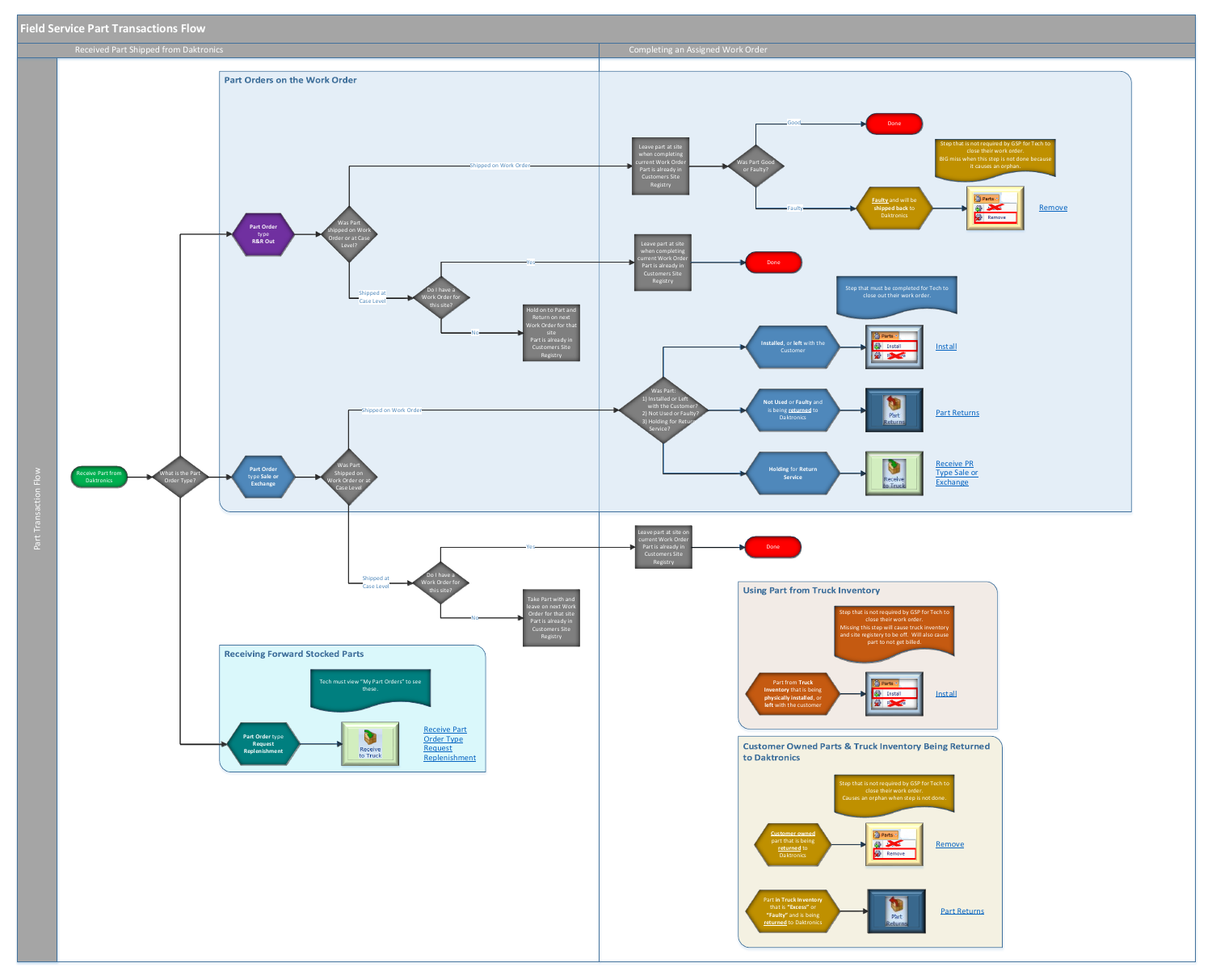